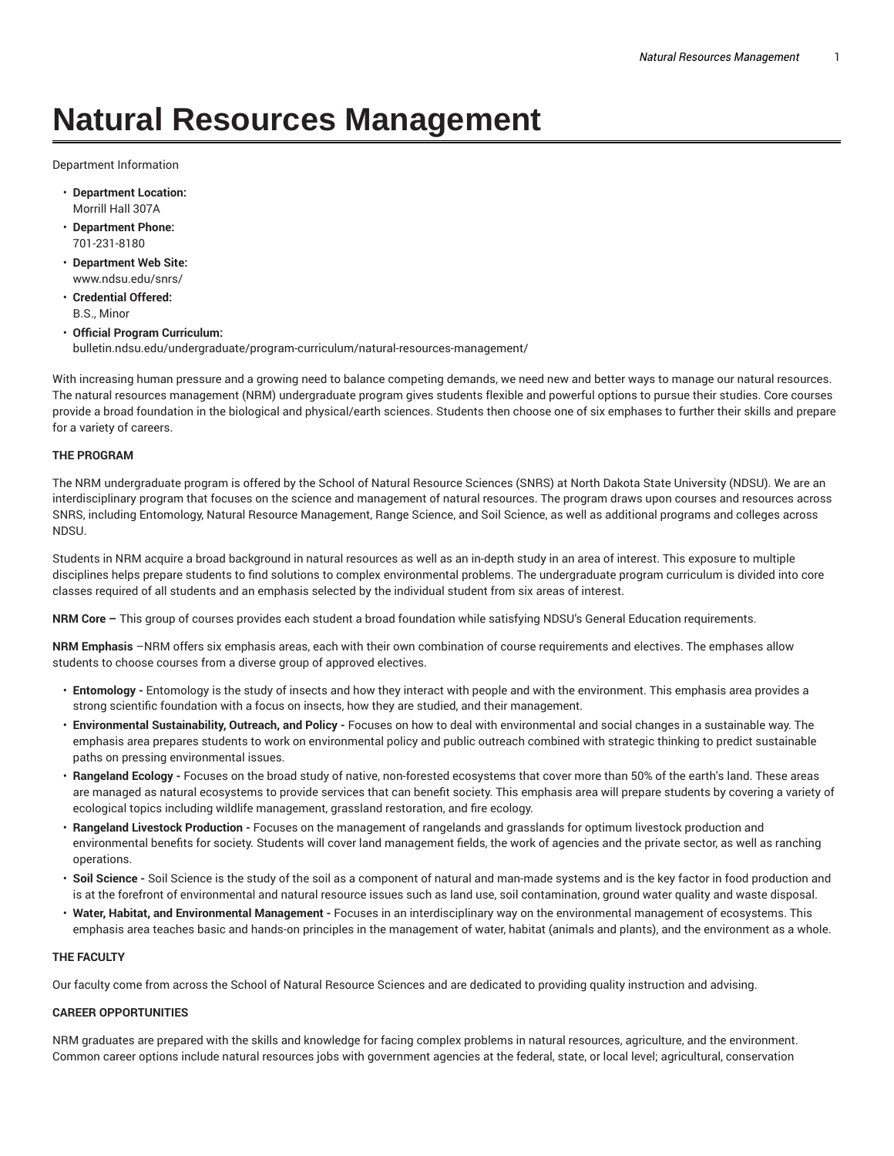# **Natural Resources Management**

Department Information

- **Department Location:** Morrill Hall 307A
- **Department Phone:** 701-231-8180
- **Department Web Site:** www.ndsu.edu/snrs/
- **Credential Offered:** B.S., Minor
- **Official Program Curriculum:** bulletin.ndsu.edu/undergraduate/program-curriculum/natural-resources-management/

With increasing human pressure and a growing need to balance competing demands, we need new and better ways to manage our natural resources. The natural resources management (NRM) undergraduate program gives students flexible and powerful options to pursue their studies. Core courses provide a broad foundation in the biological and physical/earth sciences. Students then choose one of six emphases to further their skills and prepare for a variety of careers.

### **THE PROGRAM**

The NRM undergraduate program is offered by the School of Natural Resource Sciences (SNRS) at North Dakota State University (NDSU). We are an interdisciplinary program that focuses on the science and management of natural resources. The program draws upon courses and resources across SNRS, including Entomology, Natural Resource Management, Range Science, and Soil Science, as well as additional programs and colleges across NDSU.

Students in NRM acquire a broad background in natural resources as well as an in-depth study in an area of interest. This exposure to multiple disciplines helps prepare students to find solutions to complex environmental problems. The undergraduate program curriculum is divided into core classes required of all students and an emphasis selected by the individual student from six areas of interest.

**NRM Core –** This group of courses provides each student a broad foundation while satisfying NDSU's General Education requirements.

**NRM Emphasis** –NRM offers six emphasis areas, each with their own combination of course requirements and electives. The emphases allow students to choose courses from a diverse group of approved electives.

- **Entomology -** Entomology is the study of insects and how they interact with people and with the environment. This emphasis area provides a strong scientific foundation with a focus on insects, how they are studied, and their management.
- **Environmental Sustainability, Outreach, and Policy -** Focuses on how to deal with environmental and social changes in a sustainable way. The emphasis area prepares students to work on environmental policy and public outreach combined with strategic thinking to predict sustainable paths on pressing environmental issues.
- **Rangeland Ecology -** Focuses on the broad study of native, non-forested ecosystems that cover more than 50% of the earth's land. These areas are managed as natural ecosystems to provide services that can benefit society. This emphasis area will prepare students by covering a variety of ecological topics including wildlife management, grassland restoration, and fire ecology.
- **Rangeland Livestock Production -** Focuses on the management of rangelands and grasslands for optimum livestock production and environmental benefits for society. Students will cover land management fields, the work of agencies and the private sector, as well as ranching operations.
- **Soil Science -** Soil Science is the study of the soil as a component of natural and man-made systems and is the key factor in food production and is at the forefront of environmental and natural resource issues such as land use, soil contamination, ground water quality and waste disposal.
- **Water, Habitat, and Environmental Management -** Focuses in an interdisciplinary way on the environmental management of ecosystems. This emphasis area teaches basic and hands-on principles in the management of water, habitat (animals and plants), and the environment as a whole.

#### **THE FACULTY**

Our faculty come from across the School of Natural Resource Sciences and are dedicated to providing quality instruction and advising.

#### **CAREER OPPORTUNITIES**

NRM graduates are prepared with the skills and knowledge for facing complex problems in natural resources, agriculture, and the environment. Common career options include natural resources jobs with government agencies at the federal, state, or local level; agricultural, conservation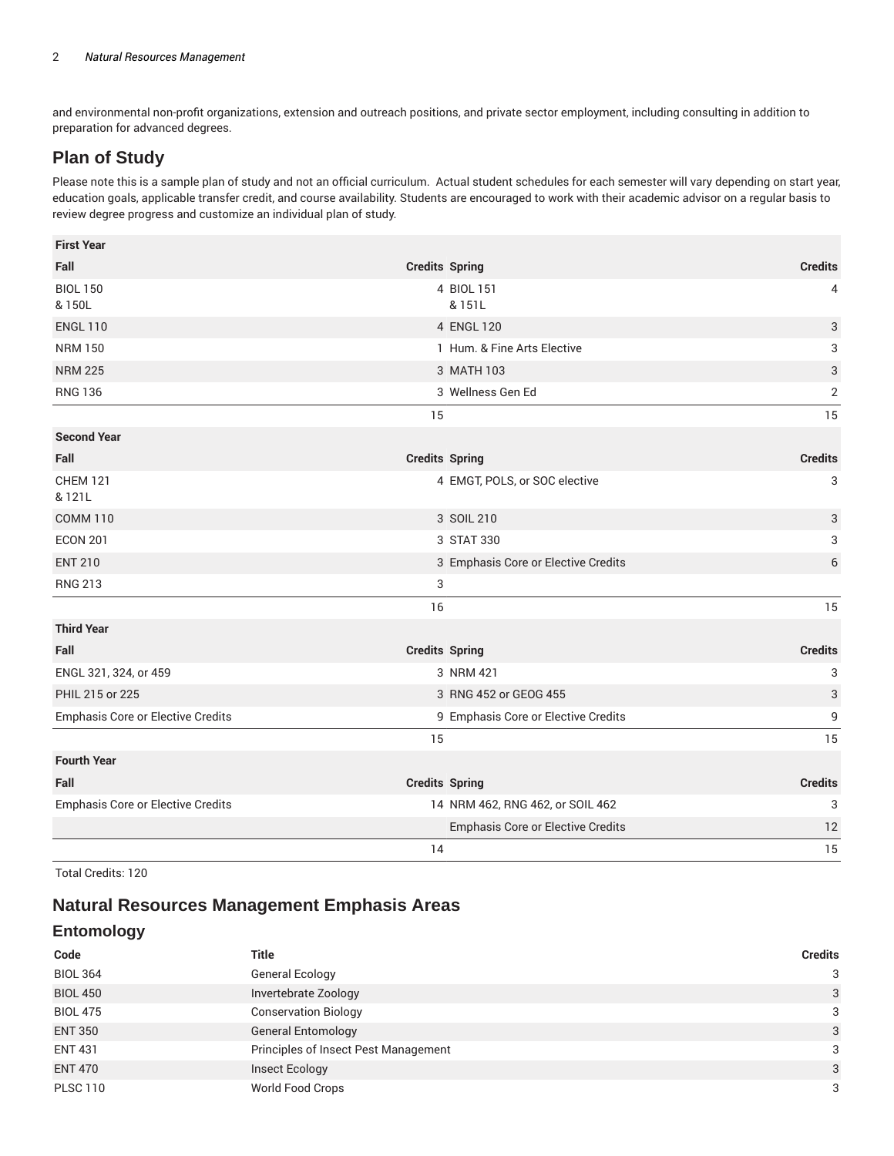and environmental non-profit organizations, extension and outreach positions, and private sector employment, including consulting in addition to preparation for advanced degrees.

# **Plan of Study**

Please note this is a sample plan of study and not an official curriculum. Actual student schedules for each semester will vary depending on start year, education goals, applicable transfer credit, and course availability. Students are encouraged to work with their academic advisor on a regular basis to review degree progress and customize an individual plan of study.

| <b>First Year</b>                        |    |                                     |                           |
|------------------------------------------|----|-------------------------------------|---------------------------|
| Fall                                     |    | <b>Credits Spring</b>               | <b>Credits</b>            |
| <b>BIOL 150</b><br>& 150L                |    | 4 BIOL 151<br>& 151L                | 4                         |
| <b>ENGL 110</b>                          |    | 4 ENGL 120                          | 3                         |
| <b>NRM 150</b>                           |    | 1 Hum. & Fine Arts Elective         | 3                         |
| <b>NRM 225</b>                           |    | 3 MATH 103                          | $\ensuremath{\mathsf{3}}$ |
| <b>RNG 136</b>                           |    | 3 Wellness Gen Ed                   | $\sqrt{2}$                |
|                                          | 15 |                                     | 15                        |
| <b>Second Year</b>                       |    |                                     |                           |
| Fall                                     |    | <b>Credits Spring</b>               | <b>Credits</b>            |
| <b>CHEM 121</b><br>& 121L                |    | 4 EMGT, POLS, or SOC elective       | 3                         |
| <b>COMM 110</b>                          |    | 3 SOIL 210                          | 3                         |
| <b>ECON 201</b>                          |    | 3 STAT 330                          | 3                         |
| <b>ENT 210</b>                           |    | 3 Emphasis Core or Elective Credits | 6                         |
| <b>RNG 213</b>                           | 3  |                                     |                           |
|                                          | 16 |                                     | 15                        |
| <b>Third Year</b>                        |    |                                     |                           |
| Fall                                     |    | <b>Credits Spring</b>               | <b>Credits</b>            |
| ENGL 321, 324, or 459                    |    | 3 NRM 421                           | 3                         |
| PHIL 215 or 225                          |    | 3 RNG 452 or GEOG 455               | 3                         |
| <b>Emphasis Core or Elective Credits</b> |    | 9 Emphasis Core or Elective Credits | 9                         |
|                                          | 15 |                                     | 15                        |
| <b>Fourth Year</b>                       |    |                                     |                           |
| Fall                                     |    | <b>Credits Spring</b>               | <b>Credits</b>            |
| <b>Emphasis Core or Elective Credits</b> |    | 14 NRM 462, RNG 462, or SOIL 462    | 3                         |
|                                          |    | Emphasis Core or Elective Credits   | 12                        |
|                                          | 14 |                                     | 15                        |

Total Credits: 120

# **Natural Resources Management Emphasis Areas**

## **Entomology**

| Code            | <b>Title</b>                         | <b>Credits</b> |
|-----------------|--------------------------------------|----------------|
| <b>BIOL 364</b> | General Ecology                      | 3              |
| <b>BIOL 450</b> | Invertebrate Zoology                 | 3              |
| <b>BIOL 475</b> | <b>Conservation Biology</b>          | 3              |
| <b>ENT 350</b>  | <b>General Entomology</b>            | 3              |
| <b>ENT 431</b>  | Principles of Insect Pest Management | 3              |
| <b>ENT 470</b>  | Insect Ecology                       | 3              |
| <b>PLSC 110</b> | World Food Crops                     | 3              |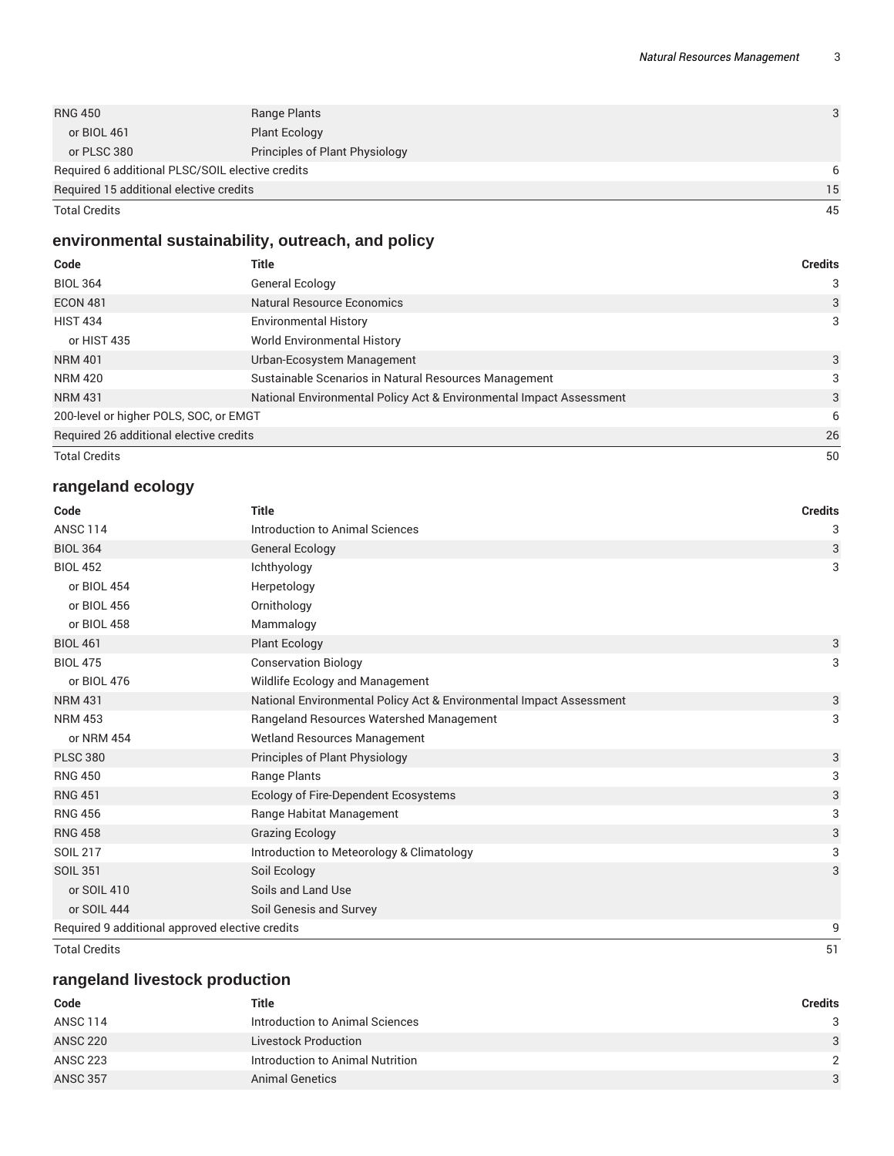| <b>RNG 450</b>                                   | Range Plants                   | 3  |
|--------------------------------------------------|--------------------------------|----|
| or BIOL 461                                      | <b>Plant Ecology</b>           |    |
| or PLSC 380                                      | Principles of Plant Physiology |    |
| Required 6 additional PLSC/SOIL elective credits |                                | 6  |
| Required 15 additional elective credits          |                                | 15 |
| <b>Total Credits</b>                             |                                | 45 |

# **environmental sustainability, outreach, and policy**

| Code                                    | Title                                                               | <b>Credits</b> |
|-----------------------------------------|---------------------------------------------------------------------|----------------|
| <b>BIOL 364</b>                         | General Ecology                                                     | 3              |
| <b>ECON 481</b>                         | Natural Resource Economics                                          | 3              |
| <b>HIST 434</b>                         | <b>Environmental History</b>                                        | 3              |
| or HIST 435                             | <b>World Environmental History</b>                                  |                |
| <b>NRM 401</b>                          | Urban-Ecosystem Management                                          | 3              |
| <b>NRM 420</b>                          | Sustainable Scenarios in Natural Resources Management               | 3              |
| <b>NRM 431</b>                          | National Environmental Policy Act & Environmental Impact Assessment | 3              |
| 200-level or higher POLS, SOC, or EMGT  |                                                                     | 6              |
| Required 26 additional elective credits |                                                                     | 26             |
| <b>Total Credits</b>                    |                                                                     | 50             |

# **rangeland ecology**

| Code                                            | <b>Title</b>                                                        | <b>Credits</b> |
|-------------------------------------------------|---------------------------------------------------------------------|----------------|
| <b>ANSC 114</b>                                 | Introduction to Animal Sciences                                     | 3              |
| <b>BIOL 364</b>                                 | <b>General Ecology</b>                                              | 3              |
| <b>BIOL 452</b>                                 | Ichthyology                                                         | 3              |
| or BIOL 454                                     | Herpetology                                                         |                |
| or BIOL 456                                     | Ornithology                                                         |                |
| or BIOL 458                                     | Mammalogy                                                           |                |
| <b>BIOL 461</b>                                 | <b>Plant Ecology</b>                                                | 3              |
| <b>BIOL 475</b>                                 | <b>Conservation Biology</b>                                         | 3              |
| or BIOL 476                                     | Wildlife Ecology and Management                                     |                |
| <b>NRM 431</b>                                  | National Environmental Policy Act & Environmental Impact Assessment | 3              |
| <b>NRM 453</b>                                  | Rangeland Resources Watershed Management                            | 3              |
| or NRM 454                                      | <b>Wetland Resources Management</b>                                 |                |
| <b>PLSC 380</b>                                 | Principles of Plant Physiology                                      | 3              |
| <b>RNG 450</b>                                  | Range Plants                                                        | 3              |
| <b>RNG 451</b>                                  | Ecology of Fire-Dependent Ecosystems                                | 3              |
| <b>RNG 456</b>                                  | Range Habitat Management                                            | 3              |
| <b>RNG 458</b>                                  | <b>Grazing Ecology</b>                                              | 3              |
| <b>SOIL 217</b>                                 | Introduction to Meteorology & Climatology                           | 3              |
| <b>SOIL 351</b>                                 | Soil Ecology                                                        | 3              |
| or SOIL 410                                     | Soils and Land Use                                                  |                |
| or SOIL 444                                     | Soil Genesis and Survey                                             |                |
| Required 9 additional approved elective credits |                                                                     | 9              |
| <b>Total Credits</b>                            |                                                                     | 51             |

## **rangeland livestock production**

| Code            | Title                            | Credits |
|-----------------|----------------------------------|---------|
| ANSC 114        | Introduction to Animal Sciences  | 3       |
| <b>ANSC 220</b> | <b>Livestock Production</b>      | 3       |
| <b>ANSC 223</b> | Introduction to Animal Nutrition | 2       |
| <b>ANSC 357</b> | <b>Animal Genetics</b>           | 3       |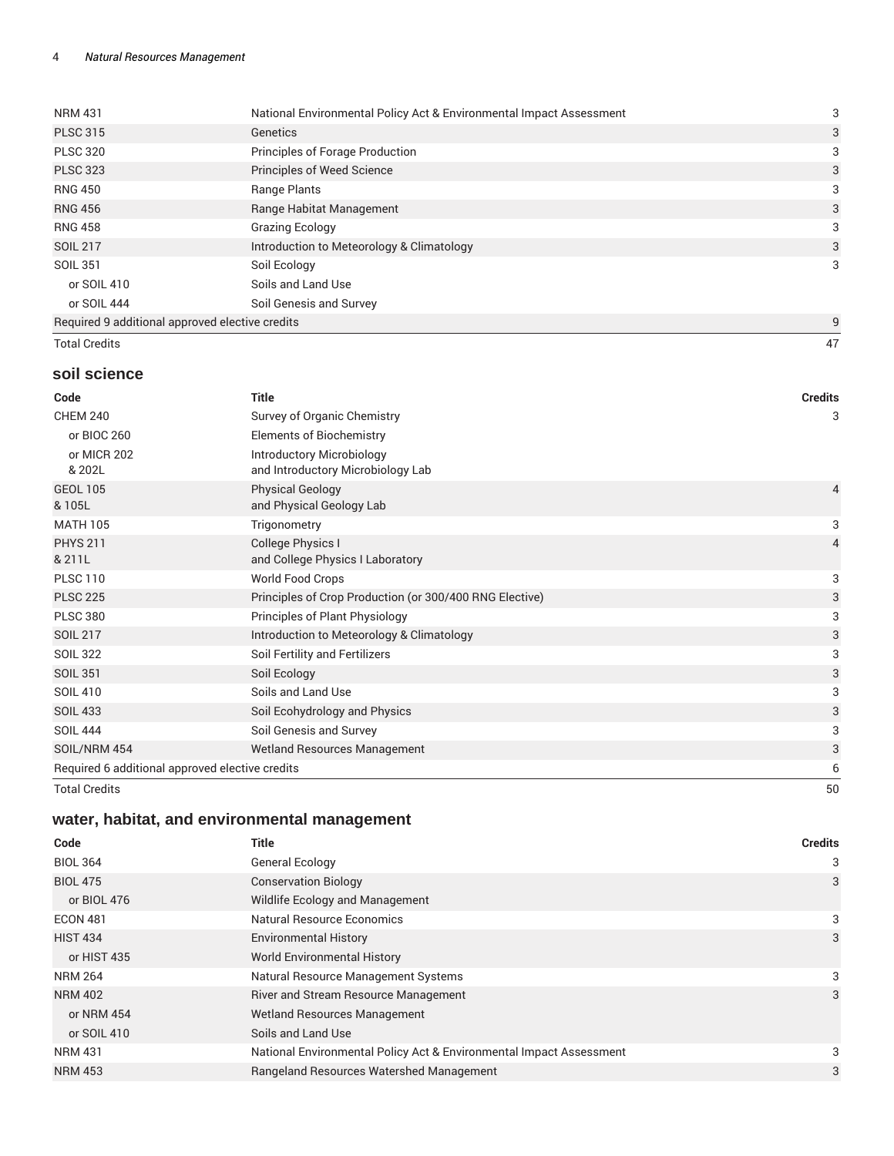| <b>NRM 431</b>                                  | National Environmental Policy Act & Environmental Impact Assessment | 3 |
|-------------------------------------------------|---------------------------------------------------------------------|---|
| <b>PLSC 315</b>                                 | Genetics                                                            | 3 |
| <b>PLSC 320</b>                                 | Principles of Forage Production                                     | 3 |
| <b>PLSC 323</b>                                 | <b>Principles of Weed Science</b>                                   | 3 |
| <b>RNG 450</b>                                  | Range Plants                                                        | 3 |
| <b>RNG 456</b>                                  | Range Habitat Management                                            | 3 |
| <b>RNG 458</b>                                  | <b>Grazing Ecology</b>                                              | 3 |
| <b>SOIL 217</b>                                 | Introduction to Meteorology & Climatology                           | 3 |
| <b>SOIL 351</b>                                 | Soil Ecology                                                        | 3 |
| or SOIL 410                                     | Soils and Land Use                                                  |   |
| or SOIL 444                                     | Soil Genesis and Survey                                             |   |
| Required 9 additional approved elective credits |                                                                     | 9 |

Total Credits 47

## **soil science**

| Code                                            | <b>Title</b>                                                          | <b>Credits</b> |
|-------------------------------------------------|-----------------------------------------------------------------------|----------------|
| <b>CHEM 240</b>                                 | Survey of Organic Chemistry                                           | 3              |
| or BIOC 260                                     | <b>Elements of Biochemistry</b>                                       |                |
| or MICR 202<br>& 202L                           | <b>Introductory Microbiology</b><br>and Introductory Microbiology Lab |                |
| <b>GEOL 105</b><br>& 105L                       | <b>Physical Geology</b><br>and Physical Geology Lab                   | 4              |
| <b>MATH 105</b>                                 | Trigonometry                                                          | 3              |
| <b>PHYS 211</b><br>& 211L                       | College Physics I<br>and College Physics I Laboratory                 | $\overline{4}$ |
| <b>PLSC 110</b>                                 | World Food Crops                                                      | 3              |
| <b>PLSC 225</b>                                 | Principles of Crop Production (or 300/400 RNG Elective)               | 3              |
| <b>PLSC 380</b>                                 | Principles of Plant Physiology                                        | 3              |
| <b>SOIL 217</b>                                 | Introduction to Meteorology & Climatology                             | 3              |
| <b>SOIL 322</b>                                 | Soil Fertility and Fertilizers                                        | 3              |
| <b>SOIL 351</b>                                 | Soil Ecology                                                          | 3              |
| <b>SOIL 410</b>                                 | Soils and Land Use                                                    | 3              |
| <b>SOIL 433</b>                                 | Soil Ecohydrology and Physics                                         | 3              |
| <b>SOIL 444</b>                                 | Soil Genesis and Survey                                               | 3              |
| SOIL/NRM 454                                    | Wetland Resources Management                                          | 3              |
| Required 6 additional approved elective credits |                                                                       | 6              |
| <b>Total Credits</b>                            |                                                                       | 50             |

# **water, habitat, and environmental management**

| Code            | <b>Title</b>                                                        | <b>Credits</b> |
|-----------------|---------------------------------------------------------------------|----------------|
| <b>BIOL 364</b> | General Ecology                                                     | 3              |
| <b>BIOL 475</b> | <b>Conservation Biology</b>                                         | 3              |
| or BIOL 476     | Wildlife Ecology and Management                                     |                |
| <b>ECON 481</b> | <b>Natural Resource Economics</b>                                   | 3              |
| <b>HIST 434</b> | <b>Environmental History</b>                                        | 3              |
| or HIST 435     | <b>World Environmental History</b>                                  |                |
| <b>NRM 264</b>  | Natural Resource Management Systems                                 | 3              |
| <b>NRM 402</b>  | <b>River and Stream Resource Management</b>                         | 3              |
| or NRM 454      | <b>Wetland Resources Management</b>                                 |                |
| or SOIL 410     | Soils and Land Use                                                  |                |
| <b>NRM 431</b>  | National Environmental Policy Act & Environmental Impact Assessment | 3              |
| <b>NRM 453</b>  | Rangeland Resources Watershed Management                            | 3              |
|                 |                                                                     |                |